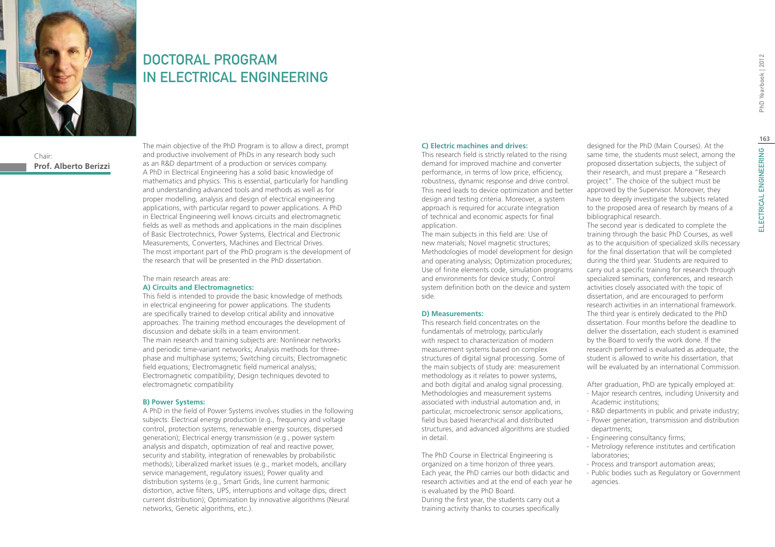

## DOCTORAL PROGRAM IN ELECTRICAL ENGINEERING

Chair: **Prof. Alberto Berizzi** The main objective of the PhD Program is to allow a direct, prompt and productive involvement of PhDs in any research body such as an R&D department of a production or services company. A PhD in Electrical Engineering has a solid basic knowledge of mathematics and physics. This is essential, particularly for handling and understanding advanced tools and methods as well as for proper modelling, analysis and design of electrical engineering applications, with particular regard to power applications. A PhD in Electrical Engineering well knows circuits and electromagnetic fields as well as methods and applications in the main disciplines of Basic Electrotechnics, Power Systems, Electrical and Electronic Measurements, Converters, Machines and Electrical Drives. The most important part of the PhD program is the development of the research that will be presented in the PhD dissertation.

#### The main research areas are: **A) Circuits and Electromagnetics:**

This field is intended to provide the basic knowledge of methods in electrical engineering for power applications. The students are specifically trained to develop critical ability and innovative approaches. The training method encourages the development of discussion and debate skills in a team environment. The main research and training subjects are: Nonlinear networks and periodic time-variant networks; Analysis methods for threephase and multiphase systems; Switching circuits; Electromagnetic field equations; Electromagnetic field numerical analysis; Electromagnetic compatibility; Design techniques devoted to electromagnetic compatibility

### **B) Power Systems:**

A PhD in the field of Power Systems involves studies in the following subjects: Electrical energy production (e.g., frequency and voltage control, protection systems, renewable energy sources, dispersed generation); Electrical energy transmission (e.g., power system analysis and dispatch, optimization of real and reactive power, security and stability, integration of renewables by probabilistic methods); Liberalized market issues (e.g., market models, ancillary service management, regulatory issues); Power quality and distribution systems (e.g., Smart Grids, line current harmonic distortion, active filters, UPS, interruptions and voltage dips, direct current distribution); Optimization by innovative algorithms (Neural networks, Genetic algorithms, etc.).

### **C) Electric machines and drives:**

This research field is strictly related to the rising demand for improved machine and converter performance, in terms of low price, efficiency, robustness, dynamic response and drive control. This need leads to device optimization and better design and testing criteria. Moreover, a system approach is required for accurate integration of technical and economic aspects for final application.

The main subjects in this field are: Use of new materials; Novel magnetic structures; Methodologies of model development for design and operating analysis; Optimization procedures; Use of finite elements code, simulation programs and environments for device study; Control system definition both on the device and system side.

### **D) Measurements:**

This research field concentrates on the fundamentals of metrology, particularly with respect to characterization of modern measurement systems based on complex structures of digital signal processing. Some of the main subjects of study are: measurement methodology as it relates to power systems, and both digital and analog signal processing. Methodologies and measurement systems associated with industrial automation and, in particular, microelectronic sensor applications, field bus based hierarchical and distributed structures, and advanced algorithms are studied in detail.

The PhD Course in Electrical Engineering is organized on a time horizon of three years. Each year, the PhD carries our both didactic and research activities and at the end of each year he is evaluated by the PhD Board. During the first year, the students carry out a training activity thanks to courses specifically

designed for the PhD (Main Courses). At the same time, the students must select, among the proposed dissertation subjects, the subject of their research, and must prepare a "Research project". The choice of the subject must be approved by the Supervisor. Moreover, they have to deeply investigate the subjects related to the proposed area of research by means of a bibliographical research.

The second year is dedicated to complete the training through the basic PhD Courses, as well as to the acquisition of specialized skills necessary for the final dissertation that will be completed during the third year. Students are required to carry out a specific training for research through specialized seminars, conferences, and research activities closely associated with the topic of dissertation, and are encouraged to perform research activities in an international framework. The third year is entirely dedicated to the PhD dissertation. Four months before the deadline to deliver the dissertation, each student is examined by the Board to verify the work done. If the research performed is evaluated as adequate, the student is allowed to write his dissertation, that will be evaluated by an international Commission.

After graduation, PhD are typically employed at:

- ∙ Major research centres, including University and Academic institutions;
- ∙ R&D departments in public and private industry;
- ∙ Power generation, transmission and distribution departments;
- ∙ Engineering consultancy firms;
- ∙ Metrology reference institutes and certification laboratories;
- ∙ Process and transport automation areas;
- ∙ Public bodies such as Regulatory or Government agencies.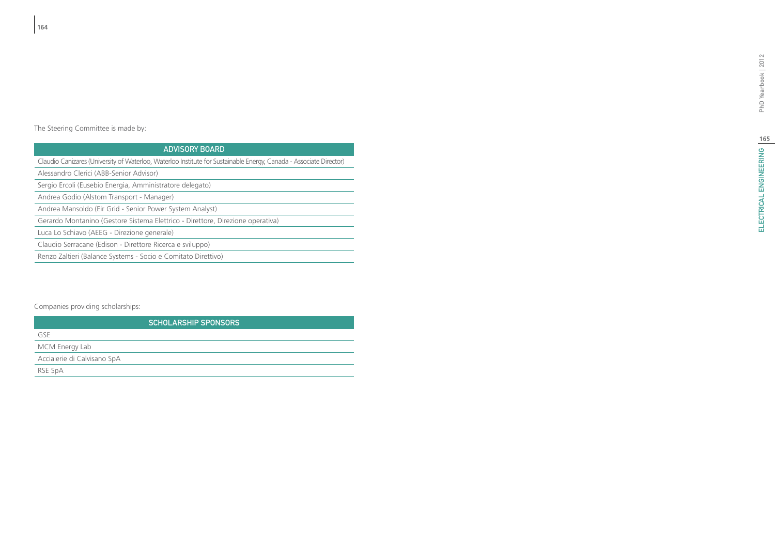# ELECTRICAL ENGINEERING | 6 ELECTRICAL ENGINEERING PhD Yearbook | 2012

The Steering Committee is made by:

## Advisory Board

Claudio Canizares (University of Waterloo, Waterloo Institute for Sustainable Energy, Canada - Associate Director)

Alessandro Clerici (ABB-Senior Advisor)

Sergio Ercoli (Eusebio Energia, Amministratore delegato)

Andrea Godio (Alstom Transport - Manager)

Andrea Mansoldo (Eir Grid - Senior Power System Analyst)

Gerardo Montanino (Gestore Sistema Elettrico - Direttore, Direzione operativa)

Luca Lo Schiavo (AEEG - Direzione generale)

Claudio Serracane (Edison - Direttore Ricerca e sviluppo)

Renzo Zaltieri (Balance Systems - Socio e Comitato Direttivo)

## Companies providing scholarships:

|                             | <b>SCHOLARSHIP SPONSORS</b> |
|-----------------------------|-----------------------------|
| GSF                         |                             |
| MCM Energy Lab              |                             |
| Acciaierie di Calvisano SpA |                             |
| RSE SpA                     |                             |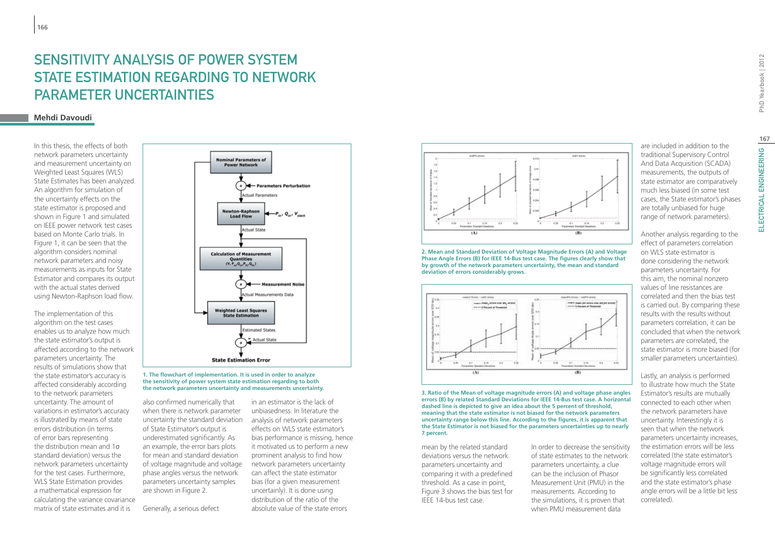# Sensitivity Analysis of Power System State Estimation Regarding to Network Parameter Uncertainties

## **Mehdi Davoudi**

In this thesis, the effects of both network parameters uncertainty and measurement uncertainty on Weighted Least Squares (WLS) State Estimates has been analyzed. An algorithm for simulation of the uncertainty effects on the state estimator is proposed and shown in Figure 1 and simulated on IEEE power network test cases based on Monte Carlo trials. In Figure 1, it can be seen that the algorithm considers nominal network parameters and noisy measurements as inputs for State Estimator and compares its output with the actual states derived using Newton-Raphson load flow.

The implementation of this algorithm on the test cases enables us to analyze how much the state estimator's output is affected according to the network parameters uncertainty. The results of simulations show that the state estimator's accuracy is affected considerably according to the network parameters uncertainty. The amount of variations in estimator's accuracy is illustrated by means of state errors distribution (in terms of error bars representing the distribution mean and 1σ standard deviation) versus the network parameters uncertainty for the test cases. Furthermore, WLS State Estimation provides a mathematical expression for calculating the variance covariance matrix of state estimates and it is





also confirmed numerically that when there is network parameter uncertainty the standard deviation of State Estimator's output is underestimated significantly. As an example, the error bars plots for mean and standard deviation of voltage magnitude and voltage phase angles versus the network parameters uncertainty samples are shown in Figure 2.

Generally, a serious defect

in an estimator is the lack of unbiasedness. In literature the analysis of network parameters effects on WLS state estimator's bias performance is missing, hence it motivated us to perform a new prominent analysis to find how network parameters uncertainty can affect the state estimator bias (for a given measurement uncertainly). It is done using distribution of the ratio of the absolute value of the state errors



**2. Mean and Standard Deviation of Voltage Magnitude Errors (A) and Voltage Phase Angle Errors (B) for IEEE 14-Bus test case. The figures clearly show that by growth of the network parameters uncertainty, the mean and standard deviation of errors considerably grows.**



**3. Ratio of the Mean of voltage magnitude errors (A) and voltage phase angles errors (B) by related Standard Deviations for IEEE 14-Bus test case. A horizontal dashed line is depicted to give an idea about the 5 percent of threshold, meaning that the state estimator is not biased for the network parameters uncertainty range below this line. According to the figures, it is apparent that the State Estimator is not biased for the parameters uncertainties up to nearly 7 percent.**

mean by the related standard deviations versus the network parameters uncertainty and comparing it with a predefined threshold. As a case in point, Figure 3 shows the bias test for IEEE 14-bus test case.

In order to decrease the sensitivity of state estimates to the network parameters uncertainty, a clue can be the inclusion of Phasor Measurement Unit (PMU) in the measurements. According to the simulations, it is proven that when PMU measurement data

are included in addition to the traditional Supervisory Control And Data Acquisition (SCADA) measurements, the outputs of state estimator are comparatively much less biased (in some test cases, the State estimator's phases

Another analysis regarding to the effect of parameters correlation on WLS state estimator is done considering the network parameters uncertainty. For this aim, the nominal nonzero values of line resistances are correlated and then the bias test is carried out. By comparing these results with the results without parameters correlation, it can be concluded that when the network parameters are correlated, the state estimator is more biased (for smaller parameters uncertainties).

Lastly, an analysis is performed to illustrate how much the State Estimator's results are mutually connected to each other when the network parameters have uncertainty. Interestingly it is seen that when the network parameters uncertainty increases, the estimation errors will be less correlated (the state estimator's voltage magnitude errors will be significantly less correlated and the state estimator's phase angle errors will be a little bit less correlated).

PhD Yearbook | 2012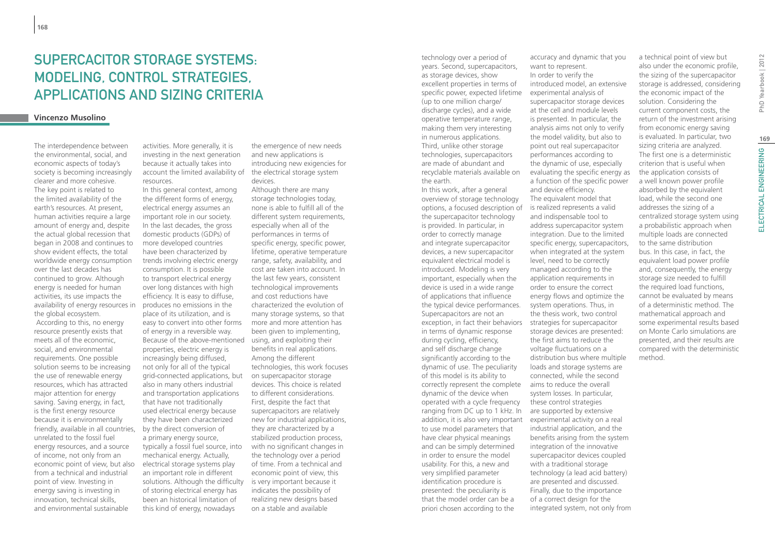## SUPERCACITOR STORAGE SYSTEMS: MODELING, CONTROL STRATEGIES, APPLICATIONS AND SIZING CRITERIA

### **Vincenzo Musolino**

The interdependence between the environmental, social, and economic aspects of today's society is becoming increasingly clearer and more cohesive. The key point is related to the limited availability of the earth's resources. At present, human activities require a large amount of energy and, despite the actual global recession that began in 2008 and continues to show evident effects, the total worldwide energy consumption over the last decades has continued to grow. Although energy is needed for human activities, its use impacts the availability of energy resources in the global ecosystem. According to this, no energy resource presently exists that meets all of the economic, social, and environmental requirements. One possible solution seems to be increasing the use of renewable energy resources, which has attracted major attention for energy saving. Saving energy, in fact, is the first energy resource because it is environmentally friendly, available in all countries, unrelated to the fossil fuel energy resources, and a source of income, not only from an economic point of view, but also from a technical and industrial point of view. Investing in energy saving is investing in innovation, technical skills, and environmental sustainable

activities. More generally, it is investing in the next generation because it actually takes into account the limited availability of the electrical storage system resources.

In this general context, among the different forms of energy, electrical energy assumes an important role in our society. In the last decades, the gross domestic products (GDPs) of more developed countries have been characterized by trends involving electric energy consumption. It is possible to transport electrical energy over long distances with high efficiency. It is easy to diffuse, produces no emissions in the place of its utilization, and is easy to convert into other forms of energy in a reversible way. Because of the above-mentioned using, and exploiting their properties, electric energy is increasingly being diffused, not only for all of the typical grid-connected applications, but also in many others industrial and transportation applications that have not traditionally used electrical energy because they have been characterized by the direct conversion of a primary energy source, typically a fossil fuel source, into mechanical energy. Actually, electrical storage systems play an important role in different solutions. Although the difficulty of storing electrical energy has been an historical limitation of this kind of energy, nowadays

the emergence of new needs and new applications is introducing new exigencies for devices.

Although there are many storage technologies today, none is able to fulfill all of the different system requirements, especially when all of the performances in terms of specific energy, specific power, lifetime, operative temperature range, safety, availability, and cost are taken into account. In the last few years, consistent technological improvements and cost reductions have characterized the evolution of many storage systems, so that more and more attention has been given to implementing, benefits in real applications. Among the different technologies, this work focuses on supercapacitor storage devices. This choice is related to different considerations. First, despite the fact that supercapacitors are relatively new for industrial applications, they are characterized by a stabilized production process, with no significant changes in the technology over a period of time. From a technical and economic point of view, this is very important because it indicates the possibility of realizing new designs based on a stable and available

technology over a period of years. Second, supercapacitors, as storage devices, show excellent properties in terms of specific power, expected lifetime (up to one million charge/ discharge cycles), and a wide operative temperature range, making them very interesting in numerous applications. Third, unlike other storage technologies, supercapacitors are made of abundant and recyclable materials available on the earth.

In this work, after a general overview of storage technology options, a focused description of is realized represents a valid the supercapacitor technology is provided. In particular, in order to correctly manage and integrate supercapacitor devices, a new supercapacitor equivalent electrical model is introduced. Modeling is very important, especially when the device is used in a wide range of applications that influence the typical device performances. Supercapacitors are not an exception, in fact their behaviors in terms of dynamic response during cycling, efficiency, and self discharge change significantly according to the dynamic of use. The peculiarity of this model is its ability to correctly represent the complete aims to reduce the overall dynamic of the device when operated with a cycle frequency ranging from DC up to 1 kHz. In addition, it is also very important experimental activity on a real to use model parameters that have clear physical meanings and can be simply determined in order to ensure the model usability. For this, a new and very simplified parameter identification procedure is presented: the peculiarity is that the model order can be a priori chosen according to the

accuracy and dynamic that you want to represent. In order to verify the introduced model, an extensive experimental analysis of supercapacitor storage devices at the cell and module levels is presented. In particular, the analysis aims not only to verify the model validity, but also to point out real supercapacitor performances according to the dynamic of use, especially evaluating the specific energy as a function of the specific power and device efficiency. The equivalent model that and indispensable tool to address supercapacitor system integration. Due to the limited specific energy, supercapacitors, when integrated at the system level, need to be correctly managed according to the application requirements in order to ensure the correct energy flows and optimize the system operations. Thus, in the thesis work, two control strategies for supercapacitor storage devices are presented: the first aims to reduce the voltage fluctuations on a distribution bus where multiple loads and storage systems are connected, while the second system losses. In particular, these control strategies are supported by extensive industrial application, and the benefits arising from the system integration of the innovative supercapacitor devices coupled with a traditional storage technology (a lead acid battery) are presented and discussed. Finally, due to the importance of a correct design for the integrated system, not only from

a technical point of view but also under the economic profile, the sizing of the supercapacitor storage is addressed, considering the economic impact of the solution. Considering the current component costs, the return of the investment arising from economic energy saving is evaluated. In particular, two sizing criteria are analyzed. The first one is a deterministic criterion that is useful when the application consists of a well known power profile absorbed by the equivalent load, while the second one addresses the sizing of a centralized storage system using a probabilistic approach when multiple loads are connected to the same distribution bus. In this case, in fact, the equivalent load power profile and, consequently, the energy storage size needed to fulfill the required load functions, cannot be evaluated by means of a deterministic method. The mathematical approach and some experimental results based on Monte Carlo simulations are presented, and their results are compared with the deterministic method.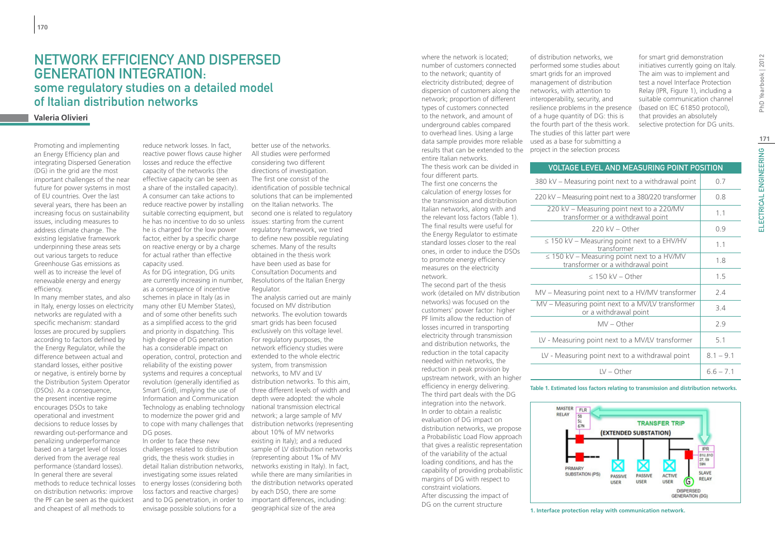## Network efficiency and Dispersed Generation integration: some regulatory studies on a detailed model of Italian distribution networks

## **Valeria Olivieri**

Promoting and implementing an Energy Efficiency plan and integrating Dispersed Generation (DG) in the grid are the most important challenges of the near future for power systems in most of EU countries. Over the last several years, there has been an increasing focus on sustainability issues, including measures to address climate change. The existing legislative framework underpinning these areas sets out various targets to reduce Greenhouse Gas emissions as well as to increase the level of renewable energy and energy efficiency.

In many member states, and also in Italy, energy losses on electricity networks are regulated with a specific mechanism: standard losses are procured by suppliers according to factors defined by the Energy Regulator, while the difference between actual and standard losses, either positive or negative, is entirely borne by the Distribution System Operator (DSOs). As a consequence, the present incentive regime encourages DSOs to take operational and investment decisions to reduce losses by rewarding out-performance and penalizing underperformance based on a target level of losses derived from the average real performance (standard losses). In general there are several methods to reduce technical losses on distribution networks: improve the PF can be seen as the quickest and cheapest of all methods to

reduce network losses. In fact, reactive power flows cause higher losses and reduce the effective capacity of the networks (the effective capacity can be seen as a share of the installed capacity). A consumer can take actions to reduce reactive power by installing on the Italian networks. The he is charged for the low power factor, either by a specific charge on reactive energy or by a charge for actual rather than effective capacity used.

As for DG integration, DG units are currently increasing in number, as a consequence of incentive schemes in place in Italy (as in many other EU Member States), and of some other benefits such as a simplified access to the grid and priority in dispatching. This high degree of DG penetration has a considerable impact on operation, control, protection and reliability of the existing power systems and requires a conceptual revolution (generally identified as Smart Grid), implying the use of Information and Communication Technology as enabling technology to modernize the power grid and to cope with many challenges that DG poses.

In order to face these new challenges related to distribution grids, the thesis work studies in detail Italian distribution networks, investigating some issues related to energy losses (considering both loss factors and reactive charges) and to DG penetration, in order to envisage possible solutions for a

suitable correcting equipment, but second one is related to regulatory he has no incentive to do so unless issues: starting from the current better use of the networks. All studies were performed considering two different directions of investigation. The first one consist of the identification of possible technical solutions that can be implemented regulatory framework, we tried to define new possible regulating schemes. Many of the results obtained in the thesis work have been used as base for Consultation Documents and Resolutions of the Italian Energy Regulator. The analysis carried out are mainly focused on MV distribution networks. The evolution towards

smart grids has been focused exclusively on this voltage level. For regulatory purposes, the network efficiency studies were extended to the whole electric system, from transmission networks, to MV and LV distribution networks. To this aim, three different levels of width and depth were adopted: the whole national transmission electrical network; a large sample of MV distribution networks (representing about 10% of MV networks existing in Italy); and a reduced sample of LV distribution networks (representing about 1‰ of MV networks existing in Italy). In fact, while there are many similarities in the distribution networks operated by each DSO, there are some important differences, including: geographical size of the area

where the network is located; number of customers connected to the network; quantity of electricity distributed; degree of dispersion of customers along the network; proportion of different types of customers connected to the network, and amount of underground cables compared to overhead lines. Using a large data sample provides more reliable used as a base for submitting a results that can be extended to the project in the selection process entire Italian networks.

The thesis work can be divided in four different parts. The first one concerns the calculation of energy losses for the transmission and distribution Italian networks, along with and the relevant loss factors (Table 1). The final results were useful for the Energy Regulator to estimate standard losses closer to the real ones, in order to induce the DSOs to promote energy efficiency measures on the electricity network.

The second part of the thesis work (detailed on MV distribution networks) was focused on the customers' power factor: higher PF limits allow the reduction of losses incurred in transporting electricity through transmission and distribution networks, the reduction in the total capacity needed within networks, the reduction in peak provision by upstream network, with an higher efficiency in energy delivering. The third part deals with the DG integration into the network. In order to obtain a realistic evaluation of DG impact on distribution networks, we propose a Probabilistic Load Flow approach that gives a realistic representation of the variability of the actual loading conditions, and has the capability of providing probabilistic margins of DG with respect to constraint violations. After discussing the impact of DG on the current structure

of distribution networks, we performed some studies about smart grids for an improved management of distribution networks, with attention to interoperability, security, and resilience problems in the presence of a huge quantity of DG: this is the fourth part of the thesis work. The studies of this latter part were

for smart grid demonstration initiatives currently going on Italy. The aim was to implement and test a novel Interface Protection Relay (IPR, Figure 1), including a suitable communication channel (based on IEC 61850 protocol), that provides an absolutely selective protection for DG units.

PhD Yearbook | 2012

| <b>VOLTAGE LEVEL AND MEASURING POINT POSITION</b>                                    |             |
|--------------------------------------------------------------------------------------|-------------|
| 380 kV – Measuring point next to a withdrawal point                                  | 0.7         |
| 220 kV – Measuring point next to a 380/220 transformer                               | 0.8         |
| 220 kV - Measuring point next to a 220/MV<br>transformer or a withdrawal point       | 1.1         |
| $220$ kV – Other                                                                     | 0.9         |
| $\leq$ 150 kV – Measuring point next to a EHV/HV<br>transformer                      | 1.1         |
| $\leq$ 150 kV – Measuring point next to a HV/MV<br>transformer or a withdrawal point | 1.8         |
| $<$ 150 kV – Other                                                                   | 1.5         |
| MV – Measuring point next to a HV/MV transformer                                     | 2.4         |
| MV - Measuring point next to a MV/LV transformer<br>or a withdrawal point            | 34          |
| $MV - Other$                                                                         | 2.9         |
| LV - Measuring point next to a MV/LV transformer                                     | 5.1         |
| LV - Measuring point next to a withdrawal point                                      | $8.1 - 9.1$ |
| $LV - Other$                                                                         | $66 - 71$   |

#### **Table 1. Estimated loss factors relating to transmission and distribution networks.**



**1. Interface protection relay with communication network.**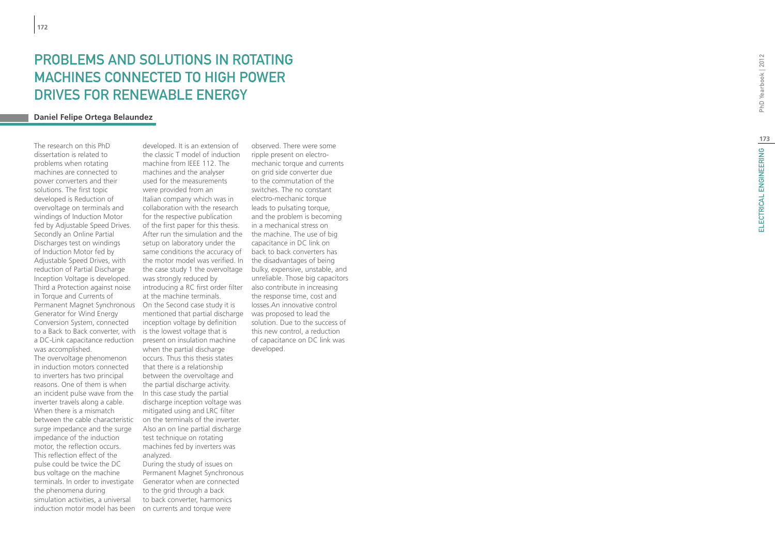# PROBLEM S AND SOLUTION S IN ROTATING MAC HINE S CONNECTED TO HIG H PO WER DRIVES FOR RENEWABLE ENERGY

## **Daniel Felipe Ortega Belaundez**

The research on this PhD dissertation is related to problems when rotating machines are connected to power converters and their solutions. The first topic developed is Reduction of overvoltage on terminals and windings of Induction Motor fed by Adjustable Speed Drives. Secondly an Online Partial Discharges test on windings of Induction Motor fed by Adjustable Speed Drives, with reduction of Partial Discharge Inception Voltage is developed. Third a Protection against noise in Torque and Currents of Permanent Magnet Synchronous Generator for Wind Energy Conversion System, connected to a Back to Back converter, with is the lowest voltage that is a DC-Link capacitance reduction was accomplished.

The overvoltage phenomenon in induction motors connected to inverters has two principal reasons. One of them is when an incident pulse wave from the inverter travels along a cable. When there is a mismatch between the cable characteristic surge impedance and the surge impedance of the induction motor, the reflection occurs. This reflection effect of the pulse could be twice the DC bus voltage on the machine terminals. In order to investigate the phenomena during simulation activities, a universal induction motor model has been

developed. It is an extension of the classic T model of induction machine from IEEE 112. The machines and the analyser used for the measurements were provided from an Italian company which was in collaboration with the research for the respective publication of the first paper for this thesis. After run the simulation and the setup on laboratory under the same conditions the accuracy of back to back converters has the motor model was verified. In the case study 1 the overvoltage bulky, expensive, unstable, and was strongly reduced by introducing a RC first order filter also contribute in increasing at the machine terminals. On the Second case study it is mentioned that partial discharge inception voltage by definition present on insulation machine when the partial discharge occurs. Thus this thesis states that there is a relationship between the overvoltage and the partial discharge activity. In this case study the partial discharge inception voltage was mitigated using and LRC filter on the terminals of the inverter. Also an on line partial discharge test technique on rotating machines fed by inverters was analyzed. During the study of issues on

Permanent Magnet Synchronous Generator when are connected to the grid through a back to back converter, harmonics on currents and torque were

observed. There were some ripple present on electromechanic torque and currents on grid side converter due to the commutation of the switches. The no constant electro-mechanic torque leads to pulsating torque, and the problem is becoming in a mechanical stress on the machine. The use of big capacitance in DC link on the disadvantages of being unreliable. Those big capacitors the response time, cost and losses.An innovative control was proposed to lead the solution. Due to the success of this new control, a reduction of capacitance on DC link was developed.